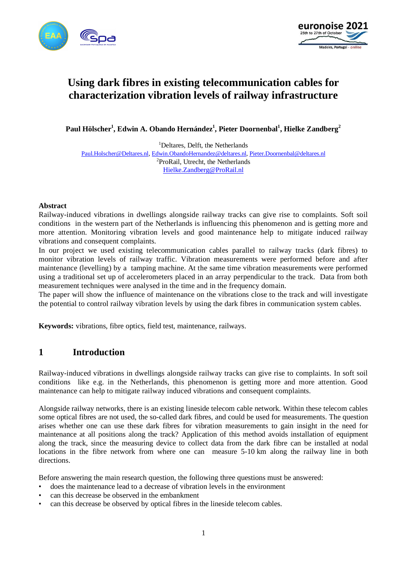



# **Using dark fibres in existing telecommunication cables for characterization vibration levels of railway infrastructure**

**Paul Hölscher<sup>1</sup> , Edwin A. Obando Hernández<sup>1</sup> , Pieter Doornenbal<sup>1</sup> , Hielke Zandberg<sup>2</sup>**

<sup>1</sup>Deltares, Delft, the Netherlands [Paul.Holscher@Deltares.nl](mailto:Paul.Holscher@Deltares.nl), [Edwin.ObandoHernandez@deltares.nl](mailto:Edwin.ObandoHernandez@deltares.nl), [Pieter.Doornenbal@deltares.nl](mailto:Pieter.Doornenbal@deltares.nl) <sup>2</sup>ProRail, Utrecht, the Netherlands [Hielke.Zandberg@ProRail.nl](mailto:Hielke.Zandberg@ProRail.nl)

#### **Abstract**

Railway-induced vibrations in dwellings alongside railway tracks can give rise to complaints. Soft soil conditions in the western part of the Netherlands is influencing this phenomenon and is getting more and more attention. Monitoring vibration levels and good maintenance help to mitigate induced railway vibrations and consequent complaints.

In our project we used existing telecommunication cables parallel to railway tracks (dark fibres) to monitor vibration levels of railway traffic. Vibration measurements were performed before and after maintenance (levelling) by a tamping machine. At the same time vibration measurements were performed using a traditional set up of accelerometers placed in an array perpendicular to the track. Data from both measurement techniques were analysed in the time and in the frequency domain.

The paper will show the influence of maintenance on the vibrations close to the track and will investigate the potential to control railway vibration levels by using the dark fibres in communication system cables.

**Keywords:** vibrations, fibre optics, field test, maintenance, railways.

### **1 Introduction**

Railway-induced vibrations in dwellings alongside railway tracks can give rise to complaints. In soft soil conditions like e.g. in the Netherlands, this phenomenon is getting more and more attention. Good maintenance can help to mitigate railway induced vibrations and consequent complaints.

Alongside railway networks, there is an existing lineside telecom cable network. Within these telecom cables some optical fibres are not used, the so-called dark fibres, and could be used for measurements. The question arises whether one can use these dark fibres for vibration measurements to gain insight in the need for maintenance at all positions along the track? Application of this method avoids installation of equipment along the track, since the measuring device to collect data from the dark fibre can be installed at nodal locations in the fibre network from where one can measure 5-10 km along the railway line in both directions.

Before answering the main research question, the following three questions must be answered:

- does the maintenance lead to a decrease of vibration levels in the environment
- can this decrease be observed in the embankment
- can this decrease be observed by optical fibres in the lineside telecom cables.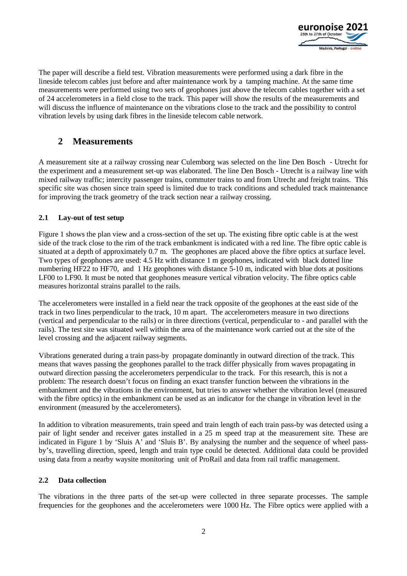

The paper will describe a field test. Vibration measurements were performed using a dark fibre in the lineside telecom cables just before and after maintenance work by a tamping machine. At the same time measurements were performed using two sets of geophones just above the telecom cables together with a set of 24 accelerometers in a field close to the track. This paper will show the results of the measurements and will discuss the influence of maintenance on the vibrations close to the track and the possibility to control vibration levels by using dark fibres in the lineside telecom cable network.

## **2 Measurements**

A measurement site at a railway crossing near Culemborg was selected on the line Den Bosch - Utrecht for the experiment and a measurement set-up was elaborated. The line Den Bosch - Utrecht is a railway line with mixed railway traffic; intercity passenger trains, commuter trains to and from Utrecht and freight trains. This specific site was chosen since train speed is limited due to track conditions and scheduled track maintenance for improving the track geometry of the track section near a railway crossing.

### **2.1 Lay-out of test setup**

[Figure 1](#page-2-0) shows the plan view and a cross-section of the set up. The existing fibre optic cable is at the west side of the track close to the rim of the track embankment is indicated with a red line. The fibre optic cable is situated at a depth of approximately 0.7 m. The geophones are placed above the fibre optics at surface level. Two types of geophones are used: 4.5 Hz with distance 1 m geophones, indicated with black dotted line numbering HF22 to HF70, and 1 Hz geophones with distance 5-10 m, indicated with blue dots at positions LF00 to LF90. It must be noted that geophones measure vertical vibration velocity. The fibre optics cable measures horizontal strains parallel to the rails.

The accelerometers were installed in a field near the track opposite of the geophones at the east side of the track in two lines perpendicular to the track, 10 m apart. The accelerometers measure in two directions (vertical and perpendicular to the rails) or in three directions (vertical, perpendicular to - and parallel with the rails). The test site was situated well within the area of the maintenance work carried out at the site of the level crossing and the adjacent railway segments.

Vibrations generated during a train pass-by propagate dominantly in outward direction of the track. This means that waves passing the geophones parallel to the track differ physically from waves propagating in outward direction passing the accelerometers perpendicular to the track. For this research, this is not a problem: The research doesn't focus on finding an exact transfer function between the vibrations in the embankment and the vibrations in the environment, but tries to answer whether the vibration level (measured with the fibre optics) in the embankment can be used as an indicator for the change in vibration level in the environment (measured by the accelerometers).

In addition to vibration measurements, train speed and train length of each train pass-by was detected using a pair of light sender and receiver gates installed in a 25 m speed trap at the measurement site. These are indicated in [Figure 1](#page-2-0) by 'Sluis A' and 'Sluis B'. By analysing the number and the sequence of wheel passby's, travelling direction, speed, length and train type could be detected. Additional data could be provided using data from a nearby waysite monitoring unit of ProRail and data from rail traffic management.

#### **2.2 Data collection**

The vibrations in the three parts of the set-up were collected in three separate processes. The sample frequencies for the geophones and the accelerometers were 1000 Hz. The Fibre optics were applied with a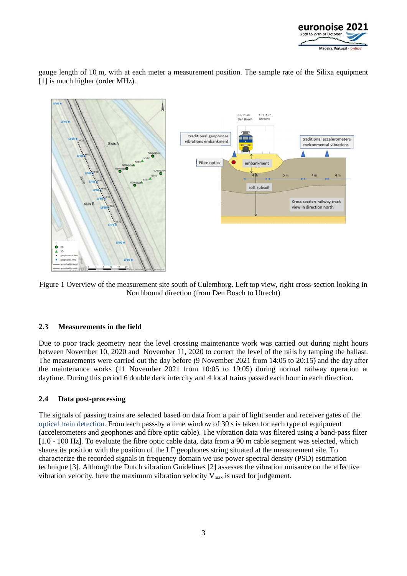

gauge length of 10 m, with at each meter a measurement position. The sample rate of the Silixa equipment [1] is much higher (order MHz).



<span id="page-2-0"></span>Figure 1 Overview of the measurement site south of Culemborg. Left top view, right cross-section looking in Northbound direction (from Den Bosch to Utrecht)

#### **2.3 Measurements in the field**

Due to poor track geometry near the level crossing maintenance work was carried out during night hours between November 10, 2020 and November 11, 2020 to correct the level of the rails by tamping the ballast. The measurements were carried out the day before (9 November 2021 from 14:05 to 20:15) and the day after the maintenance works (11 November 2021 from 10:05 to 19:05) during normal railway operation at daytime. During this period 6 double deck intercity and 4 local trains passed each hour in each direction.

#### **2.4 Data post-processing**

The signals of passing trains are selected based on data from a pair of light sender and receiver gates of the optical train detection. From each pass-by a time window of 30 s is taken for each type of equipment (accelerometers and geophones and fibre optic cable). The vibration data was filtered using a band-pass filter [1.0 - 100 Hz]. To evaluate the fibre optic cable data, data from a 90 m cable segment was selected, which shares its position with the position of the LF geophones string situated at the measurement site. To characterize the recorded signals in frequency domain we use power spectral density (PSD) estimation technique [\[3\]](#page-9-0). Although the Dutch vibration Guidelines [\[2\]](#page-9-1) assesses the vibration nuisance on the effective vibration velocity, here the maximum vibration velocity  $V_{\text{max}}$  is used for judgement.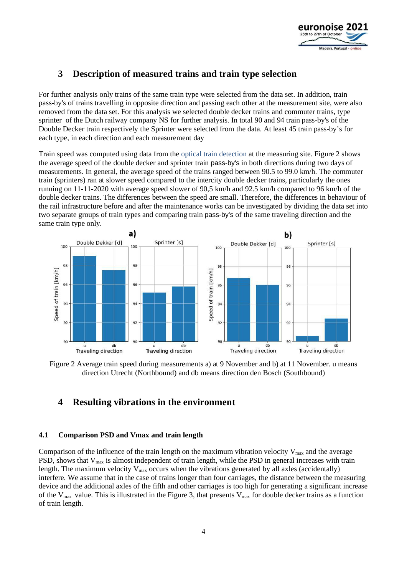

# **3 Description of measured trains and train type selection**

For further analysis only trains of the same train type were selected from the data set. In addition, train pass-by's of trains travelling in opposite direction and passing each other at the measurement site, were also removed from the data set. For this analysis we selected double decker trains and commuter trains, type sprinter of the Dutch railway company NS for further analysis. In total 90 and 94 train pass-by's of the Double Decker train respectively the Sprinter were selected from the data. At least 45 train pass-by's for each type, in each direction and each measurement day

Train speed was computed using data from the optical train detection at the measuring site. [Figure 2](#page-3-0) shows the average speed of the double decker and sprinter train pass-by's in both directions during two days of measurements. In general, the average speed of the trains ranged between 90.5 to 99.0 km/h. The commuter train (sprinters) ran at slower speed compared to the intercity double decker trains, particularly the ones running on 11-11-2020 with average speed slower of 90,5 km/h and 92.5 km/h compared to 96 km/h of the double decker trains. The differences between the speed are small. Therefore, the differences in behaviour of the rail infrastructure before and after the maintenance works can be investigated by dividing the data set into two separate groups of train types and comparing train pass-by's of the same traveling direction and the same train type only.



<span id="page-3-0"></span>Figure 2 Average train speed during measurements a) at 9 November and b) at 11 November. u means direction Utrecht (Northbound) and db means direction den Bosch (Southbound)

### **4 Resulting vibrations in the environment**

#### **4.1 Comparison PSD and Vmax and train length**

Comparison of the influence of the train length on the maximum vibration velocity  $V_{\text{max}}$  and the average PSD, shows that  $V_{\text{max}}$  is almost independent of train length, while the PSD in general increases with train length. The maximum velocity  $V_{\text{max}}$  occurs when the vibrations generated by all axles (accidentally) interfere. We assume that in the case of trains longer than four carriages, the distance between the measuring device and the additional axles of the fifth and other carriages is too high for generating a significant increase of the  $V_{\text{max}}$  value. This is illustrated in the [Figure 3](#page-4-0), that presents  $V_{\text{max}}$  for double decker trains as a function of train length.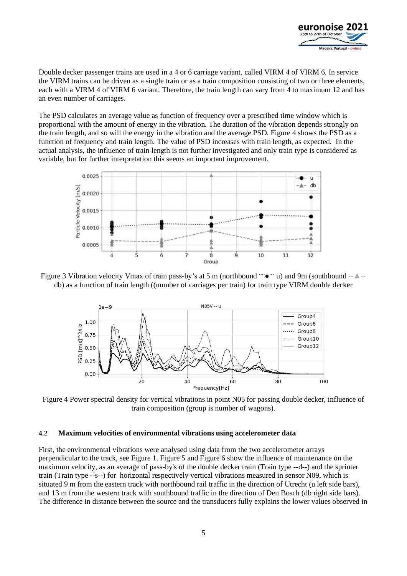

Double decker passenger trains are used in a 4 or 6 carriage variant, called VIRM 4 of VIRM 6. In service the VIRM trains can be driven as a single train or as a train composition consisting of two or three elements, each with a VIRM 4 of VIRM 6 variant. Therefore, the train length can vary from 4 to maximum 12 and has an even number of carriages.

The PSD calculates an average value as function of frequency over a prescribed time window which is proportional with the amount of energy in the vibration. The duration of the vibration depends strongly on the train length, and so will the energy in the vibration and the average PSD. [Figure 4](#page-4-1) shows the PSD as a function of frequency and train length. The value of PSD increases with train length, as expected. In the actual analysis, the influence of train length is not further investigated and only train type is considered as variable, but for further interpretation this seems an important improvement.



<span id="page-4-0"></span>Figure 3 Vibration velocity Vmax of train pass-by's at 5 m (northbound **….**● **…** u) and 9m (southbound --**▲**- db) as a function of train length ((number of carriages per train) for train type VIRM double decker



<span id="page-4-1"></span>Figure 4 Power spectral density for vertical vibrations in point N05 for passing double decker, influence of train composition (group is number of wagons).

#### **4.2 Maximum velocities of environmental vibrations using accelerometer data**

First, the environmental vibrations were analysed using data from the two accelerometer arrays perpendicular to the track, see [Figure 1.](#page-2-0) [Figure 5](#page-5-0) and [Figure 6](#page-5-1) show the influence of maintenance on the maximum velocity, as an average of pass-by's of the double decker train (Train type --d--) and the sprinter train (Train type --s--) for horizontal respectively vertical vibrations measured in sensor N09, which is situated 9 m from the eastern track with northbound rail traffic in the direction of Utrecht (u left side bars), and 13 m from the western track with southbound traffic in the direction of Den Bosch (db right side bars). The difference in distance between the source and the transducers fully explains the lower values observed in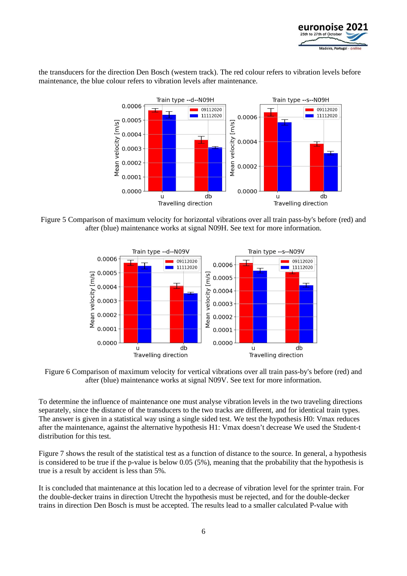

the transducers for the direction Den Bosch (western track). The red colour refers to vibration levels before maintenance, the blue colour refers to vibration levels after maintenance.



<span id="page-5-0"></span>Figure 5 Comparison of maximum velocity for horizontal vibrations over all train pass-by's before (red) and after (blue) maintenance works at signal N09H. See text for more information.



<span id="page-5-1"></span>Figure 6 Comparison of maximum velocity for vertical vibrations over all train pass-by's before (red) and after (blue) maintenance works at signal N09V. See text for more information.

To determine the influence of maintenance one must analyse vibration levels in the two traveling directions separately, since the distance of the transducers to the two tracks are different, and for identical train types. The answer is given in a statistical way using a single sided test. We test the hypothesis H0: Vmax reduces after the maintenance, against the alternative hypothesis H1: Vmax doesn't decrease We used the Student-t distribution for this test.

[Figure 7](#page-6-0) shows the result of the statistical test as a function of distance to the source. In general, a hypothesis is considered to be true if the p-value is below 0.05 (5%), meaning that the probability that the hypothesis is true is a result by accident is less than 5%.

It is concluded that maintenance at this location led to a decrease of vibration level for the sprinter train. For the double-decker trains in direction Utrecht the hypothesis must be rejected, and for the double-decker trains in direction Den Bosch is must be accepted. The results lead to a smaller calculated P-value with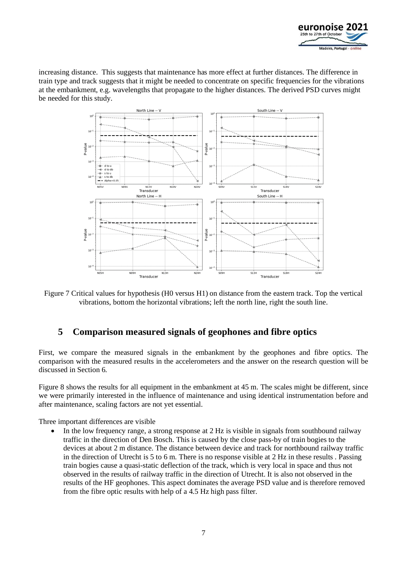

increasing distance. This suggests that maintenance has more effect at further distances. The difference in train type and track suggests that it might be needed to concentrate on specific frequencies for the vibrations at the embankment, e.g. wavelengths that propagate to the higher distances. The derived PSD curves might be needed for this study.



<span id="page-6-0"></span>Figure 7 Critical values for hypothesis (H0 versus H1) on distance from the eastern track. Top the vertical vibrations, bottom the horizontal vibrations; left the north line, right the south line.

### **5 Comparison measured signals of geophones and fibre optics**

First, we compare the measured signals in the embankment by the geophones and fibre optics. The comparison with the measured results in the accelerometers and the answer on the research question will be discussed in Section [6](#page-7-0).

[Figure 8](#page-7-1) shows the results for all equipment in the embankment at 45 m. The scales might be different, since we were primarily interested in the influence of maintenance and using identical instrumentation before and after maintenance, scaling factors are not yet essential.

Three important differences are visible

In the low frequency range, a strong response at 2 Hz is visible in signals from southbound railway traffic in the direction of Den Bosch. This is caused by the close pass-by of train bogies to the devices at about 2 m distance. The distance between device and track for northbound railway traffic in the direction of Utrecht is 5 to 6 m. There is no response visible at 2 Hz in these results . Passing train bogies cause a quasi-static deflection of the track, which is very local in space and thus not observed in the results of railway traffic in the direction of Utrecht. It is also not observed in the results of the HF geophones. This aspect dominates the average PSD value and is therefore removed from the fibre optic results with help of a 4.5 Hz high pass filter.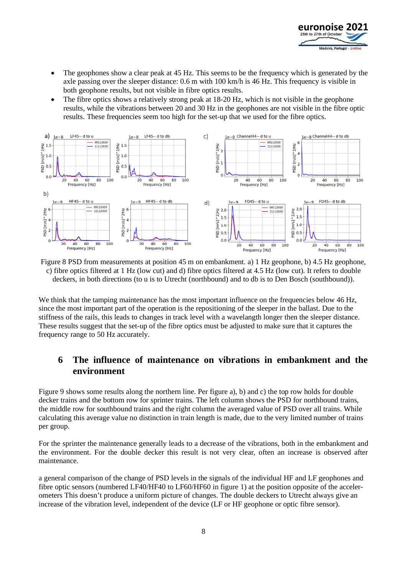

- The geophones show a clear peak at 45 Hz. This seems to be the frequency which is generated by the axle passing over the sleeper distance: 0.6 m with 100 km/h is 46 Hz. This frequency is visible in both geophone results, but not visible in fibre optics results.
- The fibre optics shows a relatively strong peak at 18-20 Hz, which is not visible in the geophone results, while the vibrations between 20 and 30 Hz in the geophones are not visible in the fibre optic results. These frequencies seem too high for the set-up that we used for the fibre optics.



<span id="page-7-1"></span>Figure 8 PSD from measurements at position 45 m on embankment. a) 1 Hz geophone, b) 4.5 Hz geophone, c) fibre optics filtered at 1 Hz (low cut) and d) fibre optics filtered at 4.5 Hz (low cut). It refers to double deckers, in both directions (to u is to Utrecht (northbound) and to db is to Den Bosch (southbound)).

We think that the tamping maintenance has the most important influence on the frequencies below 46 Hz, since the most important part of the operation is the repositioning of the sleeper in the ballast. Due to the stiffness of the rails, this leads to changes in track level with a wavelangth longer then the sleeper distance. These results suggest that the set-up of the fibre optics must be adjusted to make sure that it captures the frequency range to 50 Hz accurately.

### <span id="page-7-0"></span>**6 The influence of maintenance on vibrations in embankment and the environment**

[Figure 9](#page-8-0) shows some results along the northern line. Per figure a), b) and c) the top row holds for double decker trains and the bottom row for sprinter trains. The left column shows the PSD for northbound trains, the middle row for southbound trains and the right column the averaged value of PSD over all trains. While calculating this average value no distinction in train length is made, due to the very limited number of trains per group.

For the sprinter the maintenance generally leads to a decrease of the vibrations, both in the embankment and the environment. For the double decker this result is not very clear, often an increase is observed after maintenance.

a general comparison of the change of PSD levels in the signals of the individual HF and LF geophones and fibre optic sensors (numbered LF40/HF40 to LF60/HF60 in figure 1) at the position opposite of the accelerometers This doesn't produce a uniform picture of changes. The double deckers to Utrecht always give an increase of the vibration level, independent of the device (LF or HF geophone or optic fibre sensor).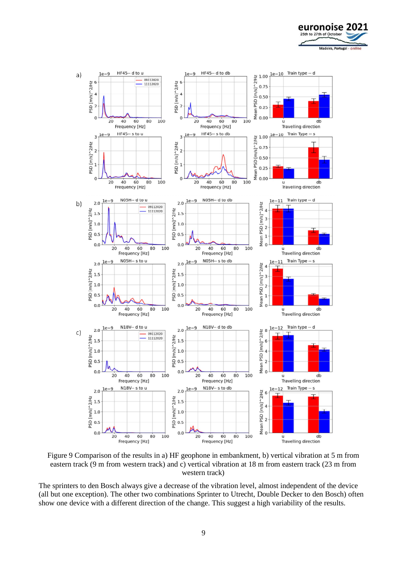



<span id="page-8-0"></span>Figure 9 Comparison of the results in a) HF geophone in embankment, b) vertical vibration at 5 m from eastern track (9 m from western track) and c) vertical vibration at 18 m from eastern track (23 m from western track)

The sprinters to den Bosch always give a decrease of the vibration level, almost independent of the device (all but one exception). The other two combinations Sprinter to Utrecht, Double Decker to den Bosch) often show one device with a different direction of the change. This suggest a high variability of the results.